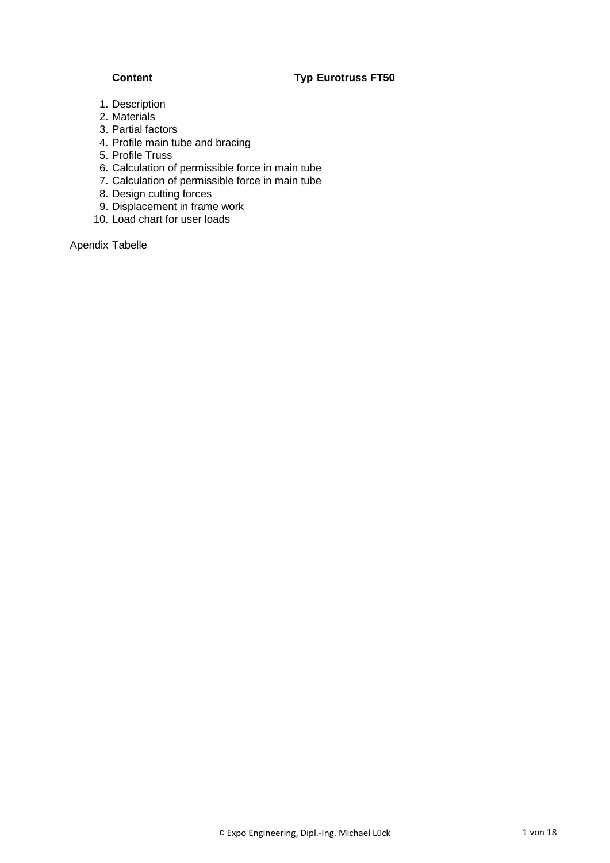## **Content Typ Eurotruss FT50**

- 1. Description
- 2. Materials
- 3. Partial factors
- 4. Profile main tube and bracing
- 5. Profile Truss
- 6. Calculation of permissible force in main tube
- 7. Calculation of permissible force in main tube
- 8. Design cutting forces
- 9. Displacement in frame work
- 10. Load chart for user loads

Apendix Tabelle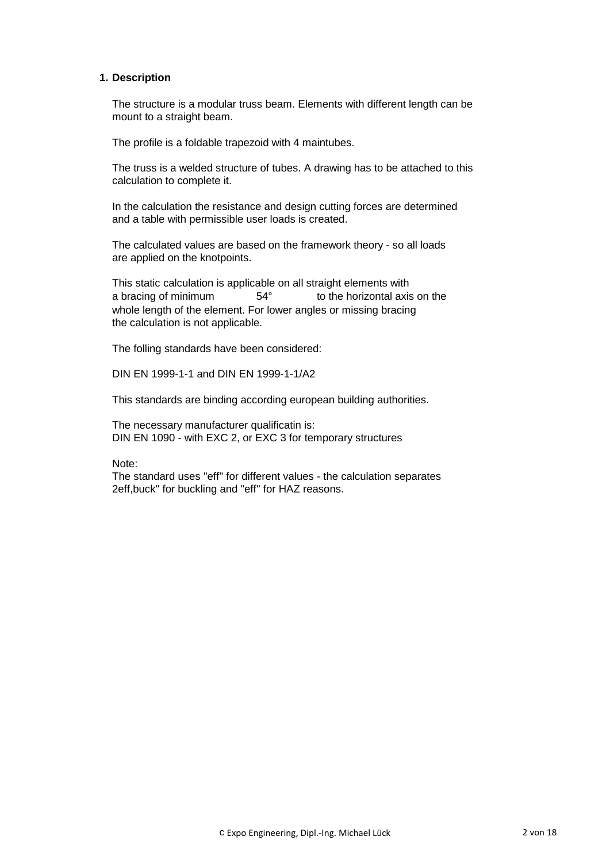#### **1. Description**

The structure is a modular truss beam. Elements with different length can be mount to a straight beam.

The profile is a foldable trapezoid with 4 maintubes.

The truss is a welded structure of tubes. A drawing has to be attached to this calculation to complete it.

In the calculation the resistance and design cutting forces are determined and a table with permissible user loads is created.

The calculated values are based on the framework theory - so all loads are applied on the knotpoints.

This static calculation is applicable on all straight elements with a bracing of minimum 54° to the horizontal axis on the whole length of the element. For lower angles or missing bracing the calculation is not applicable.

The folling standards have been considered:

DIN EN 1999-1-1 and DIN EN 1999-1-1/A2

This standards are binding according european building authorities.

The necessary manufacturer qualificatin is: DIN EN 1090 - with EXC 2, or EXC 3 for temporary structures

Note:

The standard uses "eff" for different values - the calculation separates 2eff,buck" for buckling and "eff" for HAZ reasons.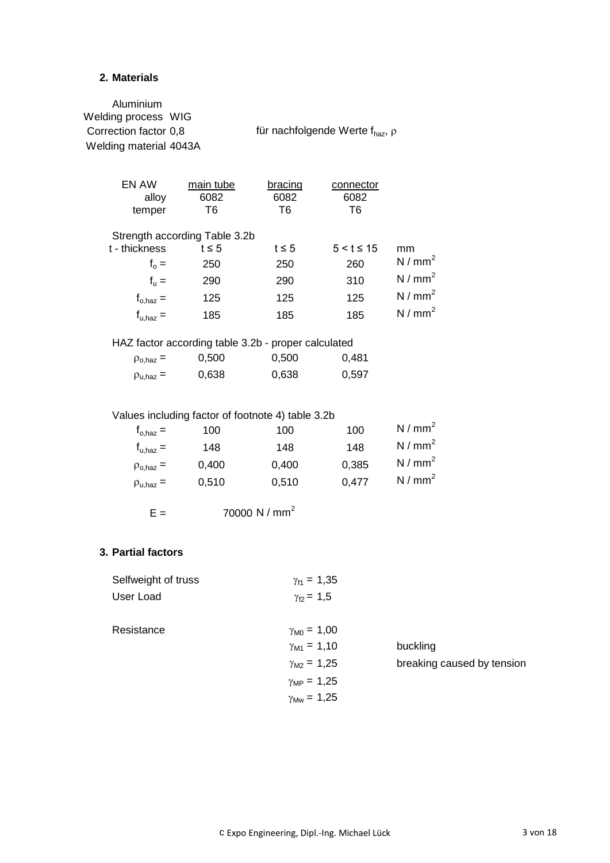#### **2. Materials**

Aluminium Welding process WIG Correction factor  $0,8$  für nachfolgende Werte  $f_{\text{haz}}$ ,  $\rho$ Welding material 4043A EN AW main tube bracing connector alloy 6082 6082 6082 temper T6 T6 T6 Strength according Table 3.2b t - thickness t  $\leq 5$  t  $\leq 5$  5 < t  $\leq 15$  mm  $f_0 =$ 250 250 260  $N / mm^2$  $f_{\rm u} =$ 290  $290$   $310$   $N/mm^2$  $f_{\rm o, haz}$  = 125 125 125 N / mm<sup>2</sup>  ${\sf f}_{\sf u,haz}$  = 185 185 185 N / mm<sup>2</sup> HAZ factor according table 3.2b - proper calculated  $\rho_{o, haz} = 0,500$  0,500 0,481  $\rho_{\text{u,haz}} = 0,638$  0,638 0,597 Values including factor of footnote 4) table 3.2b  ${\rm f}_{\rm o,haz}$  = 100 100 100 N / mm<sup>2</sup>

| $\mathbf{r}_{o,\text{haz}} =$ | 100   | 10O   | 100   | 1977 THILL        |
|-------------------------------|-------|-------|-------|-------------------|
| $f_{u, haz} =$                | 148   | 148   | 148   | N/mm <sup>2</sup> |
| $\rho_{o,\text{haz}} =$       | 0.400 | 0.400 | 0.385 | N/mm <sup>2</sup> |
| $\rho_{\text{u,haz}} =$       | 0,510 | 0.510 | 0,477 | N/mm <sup>2</sup> |

 $E = 70000 \text{ N/mm}^2$ 

#### **3. Partial factors**

| Selfweight of truss<br>User Load | $\gamma_{f1} = 1,35$<br>$\gamma_{f2} = 1,5$                                                                                     |                                        |
|----------------------------------|---------------------------------------------------------------------------------------------------------------------------------|----------------------------------------|
| Resistance                       | $\gamma_{\rm M0} = 1,00$<br>$\gamma_{M1} = 1,10$<br>$\gamma_{M2} = 1,25$<br>$\gamma_{MP} = 1,25$<br>$\gamma_{\text{Mw}} = 1,25$ | buckling<br>breaking caused by tension |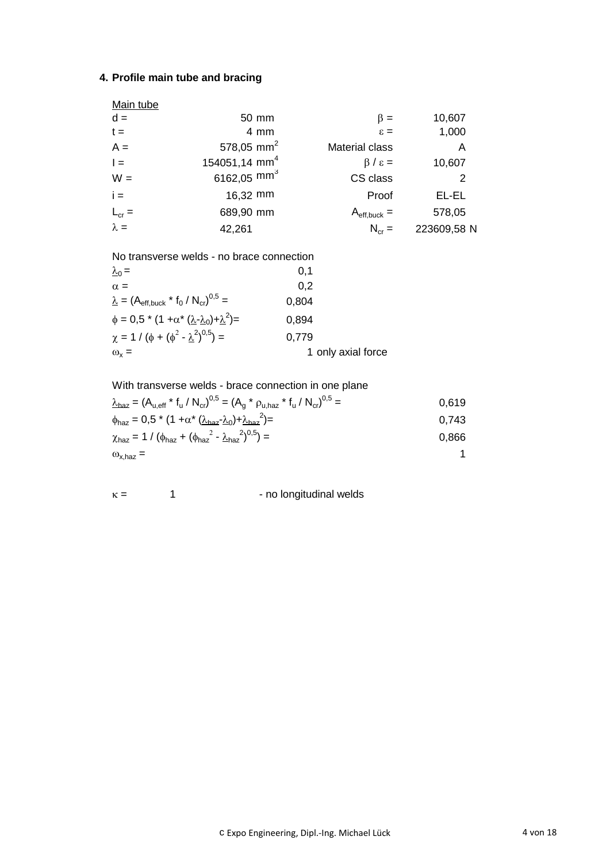# **4. Profile main tube and bracing**

| Main tube   |                           |                                |                |
|-------------|---------------------------|--------------------------------|----------------|
| $d =$       | 50 mm                     | $\beta =$                      | 10,607         |
| $t =$       | 4 mm                      | $\varepsilon =$                | 1,000          |
| $A =$       | 578,05 mm <sup>2</sup>    | <b>Material class</b>          | A              |
| $\vert =$   | 154051,14 mm <sup>4</sup> | $\beta / \varepsilon =$        | 10,607         |
| $W =$       | 6162,05 mm <sup>3</sup>   | CS class                       | $\overline{2}$ |
| $i =$       | 16,32 mm                  | Proof                          | EL-EL          |
| $L_{cr} =$  | 689,90 mm                 | $A_{\text{eff},\text{buck}} =$ | 578,05         |
| $\lambda =$ | 42,261                    | $N_{cr} =$                     | 223609,58 N    |

No transverse welds - no brace connection

| $\lambda_0 =$                                                                | 0,1                |
|------------------------------------------------------------------------------|--------------------|
| $\alpha =$                                                                   | 0,2                |
| $\underline{\lambda} = (A_{\text{eff, buck}} * f_0 / N_{\text{cr}})^{0.5} =$ | 0,804              |
| $\phi = 0.5 * (1 + \alpha^* (\lambda - \lambda_0) + \lambda^2) =$            | 0,894              |
| $\chi = 1 / (\phi + (\phi^2 - \lambda^2)^{0.5}) =$                           | 0,779              |
| $\omega_{\rm x}$ =                                                           | 1 only axial force |

With transverse welds - brace connection in one plane

$$
\frac{\lambda_{\text{haz}}}{\lambda_{\text{haz}}} = (A_{u,\text{eff}} * f_u / N_{\text{cr}})^{0,5} = (A_g * \rho_{u,\text{haz}} * f_u / N_{\text{cr}})^{0,5} = 0,619
$$
\n
$$
\phi_{\text{haz}} = 0,5 * (1 + \alpha * (\lambda_{\text{haz}} - \lambda_0) + \lambda_{\text{haz}}^2) = 0,743
$$
\n
$$
\chi_{\text{haz}} = 1 / (\phi_{\text{haz}} + (\phi_{\text{haz}}^2 - \lambda_{\text{haz}}^2)^{0,5}) = 0,866
$$
\n
$$
\omega_{x,\text{haz}} = 1
$$

$$
\kappa = 1
$$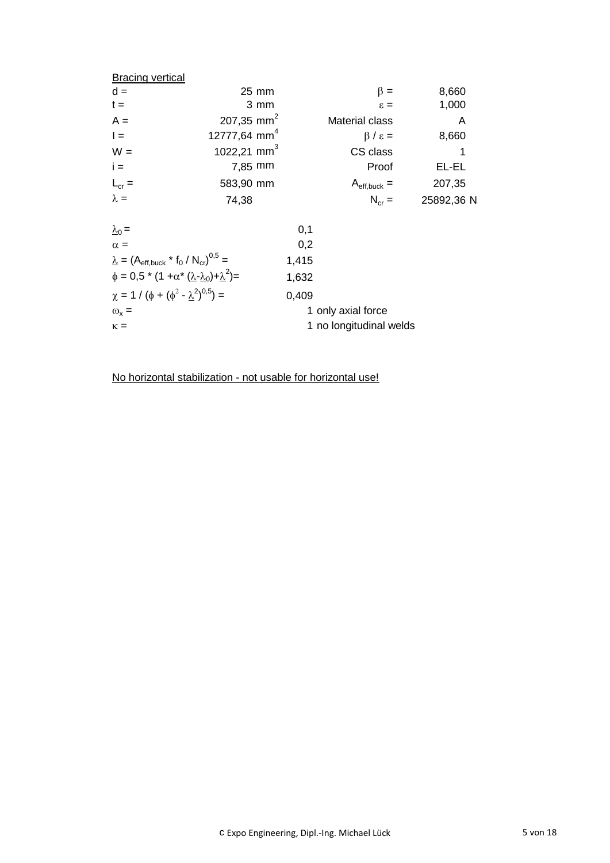| <b>Bracing vertical</b>                                           |                          |       |                                |            |
|-------------------------------------------------------------------|--------------------------|-------|--------------------------------|------------|
| $d =$                                                             | $25 \text{ mm}$          |       | $\beta =$                      | 8,660      |
| $t =$                                                             | $3 \, \text{mm}$         |       | $\varepsilon =$                | 1,000      |
| $A =$                                                             | 207,35 mm <sup>2</sup>   |       | <b>Material class</b>          | A          |
| $\vert$ =                                                         | 12777,64 mm <sup>4</sup> |       | $\beta / \varepsilon =$        | 8,660      |
| $W =$                                                             | 1022,21 mm <sup>3</sup>  |       | CS class                       | 1          |
| $i =$                                                             | $7,85$ mm                |       | Proof                          | EL-EL      |
| $L_{cr} =$                                                        | 583,90 mm                |       | $A_{\text{eff},\text{buck}} =$ | 207,35     |
| $\lambda =$                                                       | 74,38                    |       | $N_{cr} =$                     | 25892,36 N |
| $\lambda_0 =$                                                     |                          | 0,1   |                                |            |
| $\alpha =$                                                        |                          | 0,2   |                                |            |
| $\lambda = (A_{\text{eff.buck}} * f_0 / N_{\text{cr}})^{0.5} =$   |                          | 1,415 |                                |            |
| $\phi = 0.5 * (1 + \alpha * (\lambda - \lambda_0) + \lambda^2) =$ |                          | 1,632 |                                |            |
| $\chi = 1 / (\phi + (\phi^2 - \lambda^2)^{0.5}) =$                |                          | 0,409 |                                |            |
| $\omega_{x} =$                                                    |                          |       | 1 only axial force             |            |
| $\kappa =$                                                        |                          |       | 1 no longitudinal welds        |            |
|                                                                   |                          |       |                                |            |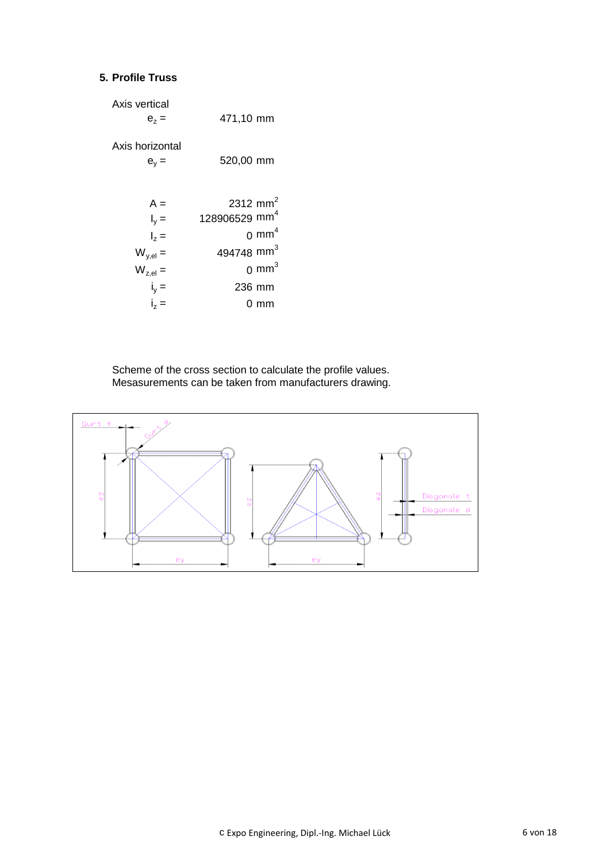## **5. Profile Truss**

| Axis vertical<br>$e_z =$                          | 471,10 mm                                                                                                            |
|---------------------------------------------------|----------------------------------------------------------------------------------------------------------------------|
| Axis horizontal<br>$e_v =$                        | 520,00 mm                                                                                                            |
| $A =$<br>$I_v =$<br>$\vert_{2} =$<br>$W_{y,el} =$ | 2312 mm <sup>2</sup><br>128906529 mm <sup>4</sup><br>$0 \text{ mm}^4$<br>494748 mm <sup>3</sup><br>0 mm <sup>3</sup> |
| $W_{z,el} =$<br>$i_y =$<br>$i_z =$                | 236 mm<br>0 mm                                                                                                       |

Scheme of the cross section to calculate the profile values. Mesasurements can be taken from manufacturers drawing.

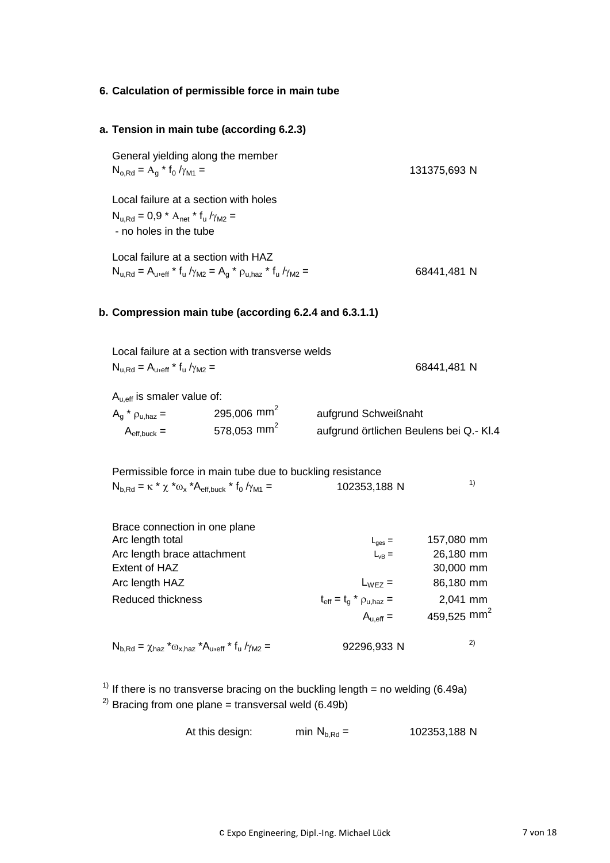# **6. Calculation of permissible force in main tube**

| a. Tension in main tube (according 6.2.3)                                                                                                       |                                                    |                                                                                                                    |                                                                                          |
|-------------------------------------------------------------------------------------------------------------------------------------------------|----------------------------------------------------|--------------------------------------------------------------------------------------------------------------------|------------------------------------------------------------------------------------------|
| General yielding along the member<br>$N_{o, Rd} = A_g * f_0 / \gamma_{M1} =$                                                                    |                                                    |                                                                                                                    | 131375,693 N                                                                             |
| Local failure at a section with holes<br>$N_{u.Rd} = 0.9 * A_{net} * f_u / \gamma_{M2} =$<br>- no holes in the tube                             |                                                    |                                                                                                                    |                                                                                          |
| Local failure at a section with HAZ<br>$N_{u,Rd} = A_{u,eff} * f_u / \gamma_{M2} = A_a * \rho_{u,haz} * f_u / \gamma_{M2} =$                    |                                                    |                                                                                                                    | 68441,481 N                                                                              |
| b. Compression main tube (according 6.2.4 and 6.3.1.1)                                                                                          |                                                    |                                                                                                                    |                                                                                          |
| Local failure at a section with transverse welds<br>$N_{u, Rd} = A_{u, eff} * f_u / \gamma_{M2} =$                                              |                                                    |                                                                                                                    | 68441,481 N                                                                              |
| $A_{u,eff}$ is smaler value of:<br>$A_q$ * $\rho_{u, haz}$ =<br>$A_{\text{eff},\text{buck}} =$                                                  | 295,006 mm <sup>2</sup><br>578,053 mm <sup>2</sup> | aufgrund Schweißnaht                                                                                               | aufgrund örtlichen Beulens bei Q.- Kl.4                                                  |
| Permissible force in main tube due to buckling resistance<br>$N_{b,Rd} = \kappa * \chi * \omega_{x} * A_{eff,back} * f_{0}/\gamma_{M1} =$       |                                                    | 102353,188 N                                                                                                       | 1)                                                                                       |
| Brace connection in one plane<br>Arc length total<br>Arc length brace attachment<br>Extent of HAZ<br>Arc length HAZ<br><b>Reduced thickness</b> |                                                    | $L_{\text{ges}} =$<br>$L_{VB} =$<br>$L_{WEZ}$ =<br>$t_{\text{eff}} = t_g * \rho_{u,\text{haz}} =$<br>$A_{u,eff} =$ | 157,080 mm<br>26,180 mm<br>30,000 mm<br>86,180 mm<br>2,041 mm<br>459,525 mm <sup>2</sup> |
| $N_{b,Rd} = \chi_{haz} * \omega_{x,haz} * A_{u,eff} * f_u / \gamma_{M2} =$                                                                      |                                                    | 92296,933 N                                                                                                        | 2)                                                                                       |
|                                                                                                                                                 |                                                    |                                                                                                                    |                                                                                          |

<sup>1)</sup> If there is no transverse bracing on the buckling length = no welding (6.49a)  $^{2)}$  Bracing from one plane = transversal weld (6.49b)

At this design: min  $N_{b, Rd} =$  102353,188 N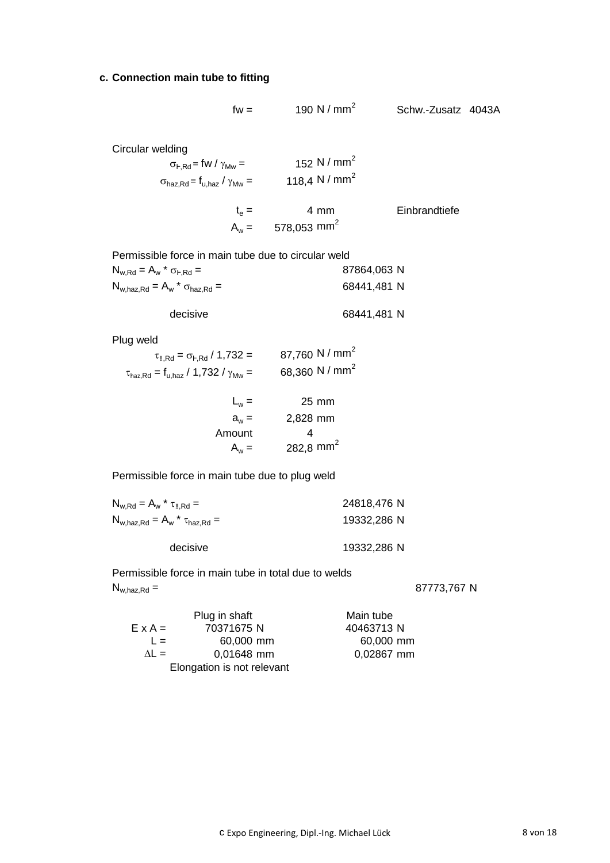#### **c. Connection main tube to fitting**

$$
fw = 190 \text{ N} / \text{mm}^2
$$

Schw.-Zusatz 4043A

Circular welding

 $\sigma_{F,Rd}$  = fw /  $\gamma_{Mw}$  = 152 N / mm<sup>2</sup>  $\sigma_{\sf haz,Rd}$  = f<sub>u,haz</sub> /  $\gamma_{\sf Mw}$  = 118,4 N / mm<sup>2</sup>

$$
t_e = 4 \text{ mm}
$$
 Einbrandtiefe  
 $A_w = 578,053 \text{ mm}^2$ 

Permissible force in main tube due to circular weld

| $N_{w,Rd} = A_w * \sigma_{F,Rd} =$                                | 87864,063 N |
|-------------------------------------------------------------------|-------------|
| $N_{\text{w,haz,Rd}} = A_{\text{w}}$ * $\sigma_{\text{haz,Rd}} =$ | 68441,481 N |

| 68441,481 N |
|-------------|
|             |
|             |

Plug weld

| $\tau_{\text{II,Rd}} = \sigma_{\text{I-Rd}} / 1.732 =$                   | 87,760 N / mm <sup>2</sup> |
|--------------------------------------------------------------------------|----------------------------|
| $\tau_{\text{haz,Rd}} = f_{\text{u,haz}} / 1.732 / \gamma_{\text{MW}} =$ | 68,360 N / mm <sup>2</sup> |

| $L_w =$ | $25 \text{ mm}$       |
|---------|-----------------------|
| $a_w =$ | 2,828 mm              |
| Amount  | 4                     |
| $A_w =$ | 282.8 mm <sup>2</sup> |

Permissible force in main tube due to plug weld

| $N_{w,Rd} = A_w * \tau_{\text{II,Rd}} =$  | 24818,476 N |
|-------------------------------------------|-------------|
| $N_{w, haz, Rd} = A_w * \tau_{haz, Rd} =$ | 19332,286 N |
| decisive                                  | 19332,286 N |

Permissible force in main tube in total due to welds  $N_{w, haz, Rd} = 87773,767 N$ 

|                | Plug in shaft              | Main tube  |
|----------------|----------------------------|------------|
| $E \times A =$ | 70371675 N                 | 40463713N  |
| $\perp$        | 60,000 mm                  | 60,000 mm  |
| $\Delta I =$   | 0,01648 mm                 | 0,02867 mm |
|                | Elongation is not relevant |            |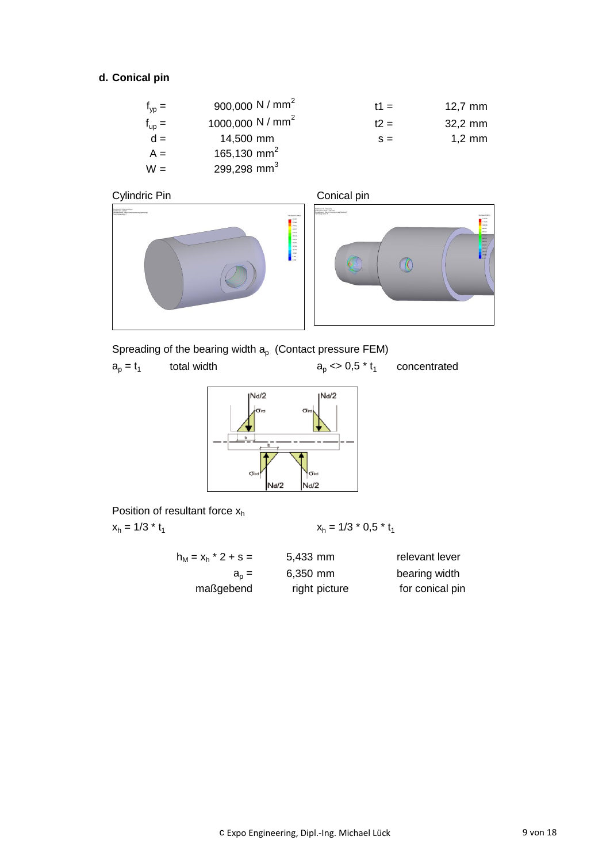# **d. Conical pin**

| $f_{vp} =$        | 900,000 N / mm <sup>2</sup>  | $t1 =$ | $12,7$ mm        |
|-------------------|------------------------------|--------|------------------|
| $f_{\text{up}} =$ | 1000,000 N / mm <sup>2</sup> | $t2 =$ | 32,2 mm          |
| $d =$             | 14,500 mm                    | $S =$  | $1,2 \text{ mm}$ |
| $A =$             | 165,130 mm <sup>2</sup>      |        |                  |
| $W =$             | 299,298 mm <sup>3</sup>      |        |                  |





Spreading of the bearing width  $a_{p}$  (Contact pressure FEM)

 $a_p = t_1$ total width  $a_p \leq 0.5 * t_1$ concentrated



Position of resultant force  $x_h$ 

 $x_h = 1/3 * t_1$   $x_h$ 

$$
x_h = 1/3 * 0.5 * t_1
$$

| $h_M = x_h * 2 + s =$ | $5,433$ mm    | relevant lever  |
|-----------------------|---------------|-----------------|
| $a_p =$               | $6,350$ mm    | bearing width   |
| maßgebend             | right picture | for conical pin |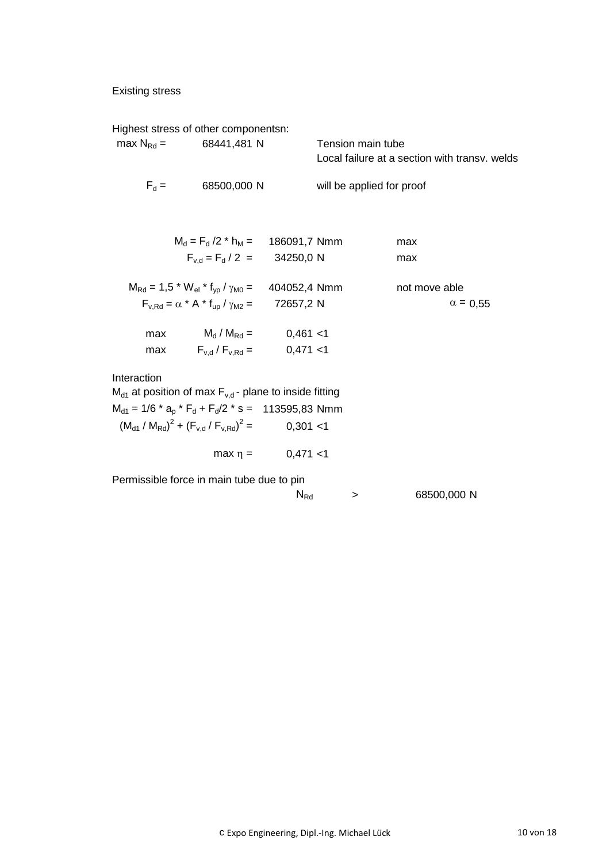# Existing stress

|                | Highest stress of other componentsn:                                                            |                        |                                                                    |                 |
|----------------|-------------------------------------------------------------------------------------------------|------------------------|--------------------------------------------------------------------|-----------------|
| $max N_{Rd}$ = | 68441,481 N                                                                                     |                        | Tension main tube<br>Local failure at a section with transy, welds |                 |
|                | $F_d = 68500,000 \text{ N}$                                                                     |                        | will be applied for proof                                          |                 |
|                |                                                                                                 |                        |                                                                    |                 |
|                | $M_d = F_d / 2$ * h <sub>M</sub> = 186091,7 Nmm                                                 |                        | max                                                                |                 |
|                | $F_{v,d} = F_d / 2 = 34250,0 \text{ N}$                                                         |                        | max                                                                |                 |
|                | $M_{\text{Rd}} = 1.5$ * W <sub>el</sub> * f <sub>vp</sub> / $\gamma_{\text{M0}} = 404052.4$ Nmm |                        | not move able                                                      |                 |
|                | $F_{v, Rd} = \alpha * A * f_{up} / \gamma_{M2} =$                                               | 72657,2 N              |                                                                    | $\alpha = 0.55$ |
|                | max $M_d / M_{Rd} =$ 0,461 <1                                                                   |                        |                                                                    |                 |
|                | max $F_{v,d}/F_{v,Rd} =$ 0,471 <1                                                               |                        |                                                                    |                 |
| Interaction    |                                                                                                 |                        |                                                                    |                 |
|                | $M_{d1}$ at position of max $F_{v,d}$ - plane to inside fitting                                 |                        |                                                                    |                 |
|                | $M_{d1} = 1/6$ * $a_p$ * $F_d + F_d/2$ * s = 113595,83 Nmm                                      |                        |                                                                    |                 |
|                | $(M_{\text{d1}}/M_{\text{Rd}})^2 + (F_{\text{vd}}/F_{\text{vRd}})^2 =$                          | 0,301 < 1              |                                                                    |                 |
|                |                                                                                                 | $max \eta = 0,471 < 1$ |                                                                    |                 |
|                | Permissible force in main tube due to pin                                                       |                        |                                                                    |                 |

| $N_{Rd}$ | 68500,000 N |
|----------|-------------|
|          |             |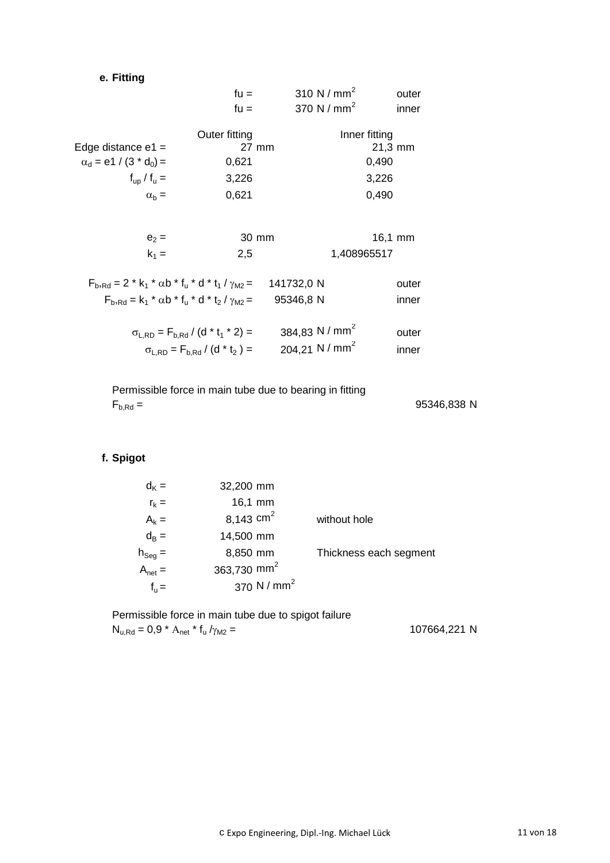# **e. Fitting**

|                                                                  | $fu =$                                       | 310 N / $mm2$              | outer               |
|------------------------------------------------------------------|----------------------------------------------|----------------------------|---------------------|
|                                                                  | $fu =$                                       | 370 N / $mm2$              | inner               |
|                                                                  | Outer fitting                                |                            | Inner fitting       |
| Edge distance $e1 =$                                             | 27 mm                                        |                            | $21,3 \, \text{mm}$ |
| $\alpha_d$ = e1 / (3 $*$ d <sub>0</sub> ) =                      | 0,621                                        |                            | 0,490               |
| $f_{\text{up}}/f_{\text{u}} =$                                   | 3,226                                        |                            | 3,226               |
| $\alpha_{h} =$                                                   | 0,621                                        |                            | 0,490               |
|                                                                  |                                              |                            |                     |
| $e_2 =$                                                          | 30 mm                                        |                            | $16,1$ mm           |
| $k_1 =$                                                          | 2,5                                          |                            | 1,408965517         |
| $F_{b, Rd} = 2 * k_1 * \alpha b * f_u * d * t_1 / \gamma_{M2} =$ |                                              | 141732,0 N                 | outer               |
| $F_{b_1Rd} = k_1 * \alpha b * f_{11} * d * t_2 / \gamma_{M2} =$  |                                              | 95346,8 N                  | inner               |
|                                                                  | $\sigma_{L,RD} = F_{b,Rd} / (d * t_1 * 2) =$ | 384,83 N / mm <sup>2</sup> | outer               |
|                                                                  | $\sigma_{LRD} = F_{b,Rd} / (d * t_2) =$      | 204.21 N / $mm2$           | inner               |
|                                                                  |                                              |                            |                     |

Permissible force in main tube due to bearing in fitting  $F_{b, Rd} =$  95346,838 N

# **f. Spigot**

| Thickness each segment |
|------------------------|
|                        |
|                        |
|                        |

Permissible force in main tube due to spigot failure  $N_{u,Rd} = 0.9 * A_{net} * f_u / \gamma_{M2} =$ 

107664,221 N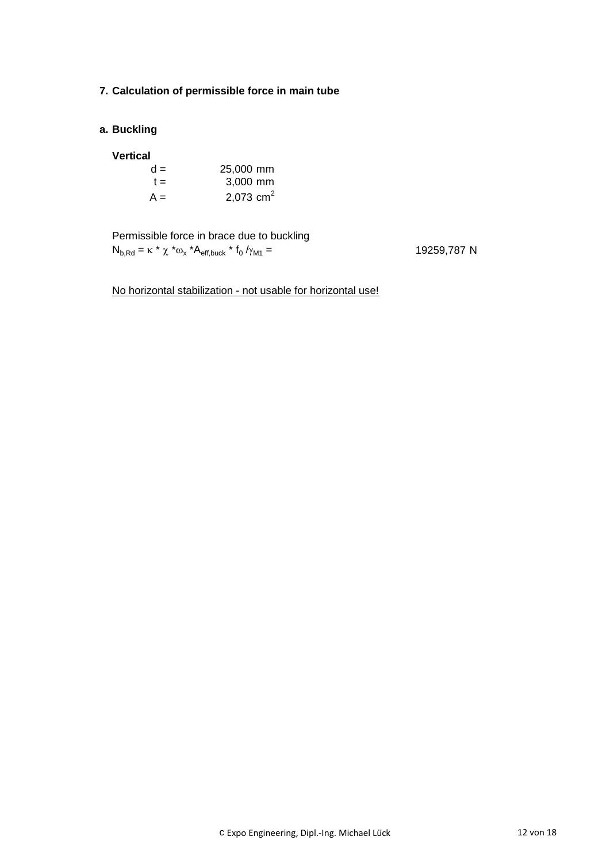### **7. Calculation of permissible force in main tube**

### **a. Buckling**

#### **Vertical**

| $d =$ | 25,000 mm   |
|-------|-------------|
| $t =$ | 3,000 mm    |
| $A =$ | 2,073 $cm2$ |

Permissible force in brace due to buckling  $N_{b, Rd} = \kappa * \chi * \omega_x * A_{eff, buck} * f_0$ 

19259,787 N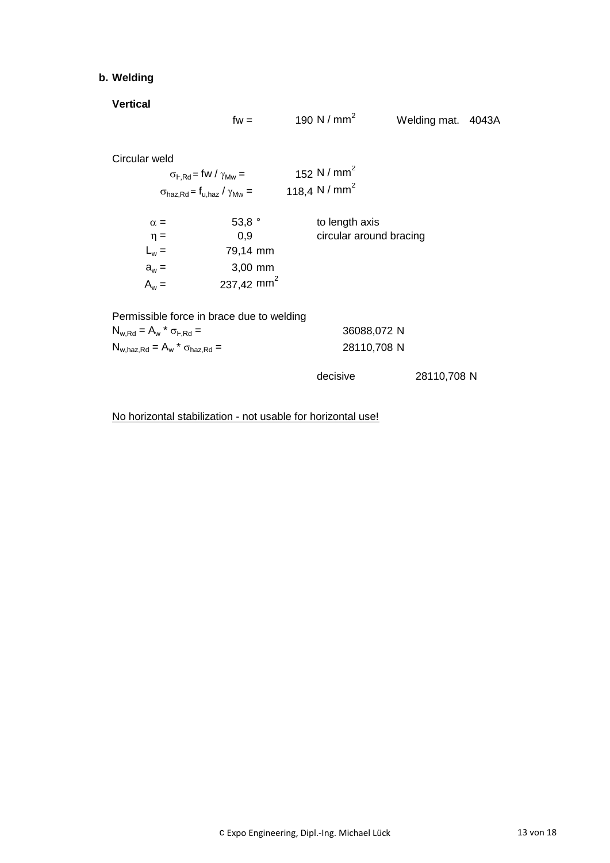# **b. Welding**

**Vertical**

Circular weld

|                                                                                                                                                | $fw =$ | 190 N / $mm2$                                        | Welding mat. 4043A |  |
|------------------------------------------------------------------------------------------------------------------------------------------------|--------|------------------------------------------------------|--------------------|--|
| eld<br>$\sigma_{\text{F-Rd}}$ = fw / $\gamma_{\text{Mw}}$ =<br>$\sigma_{\text{haz,Rd}}$ = $\mathsf{f}_{\text{u,haz}}$ / $\gamma_{\text{Mw}}$ = |        | 152 N / mm <sup>2</sup><br>118,4 N / mm <sup>2</sup> |                    |  |
|                                                                                                                                                |        |                                                      |                    |  |

| $\alpha =$ | 53,8 $^{\circ}$        | to length axis          |
|------------|------------------------|-------------------------|
| $\eta =$   | 0,9                    | circular around bracing |
| $L_w =$    | 79,14 mm               |                         |
| $a_w =$    | $3,00$ mm              |                         |
| $A_w =$    | 237,42 mm <sup>2</sup> |                         |

| Permissible force in brace due to welding   |             |
|---------------------------------------------|-------------|
| $N_{w,Rd} = A_w * \sigma_{F,Rd} =$          | 36088,072 N |
| $N_{w, haz, Rd} = A_w * \sigma_{haz, Rd} =$ | 28110,708 N |

decisive 28110,708 N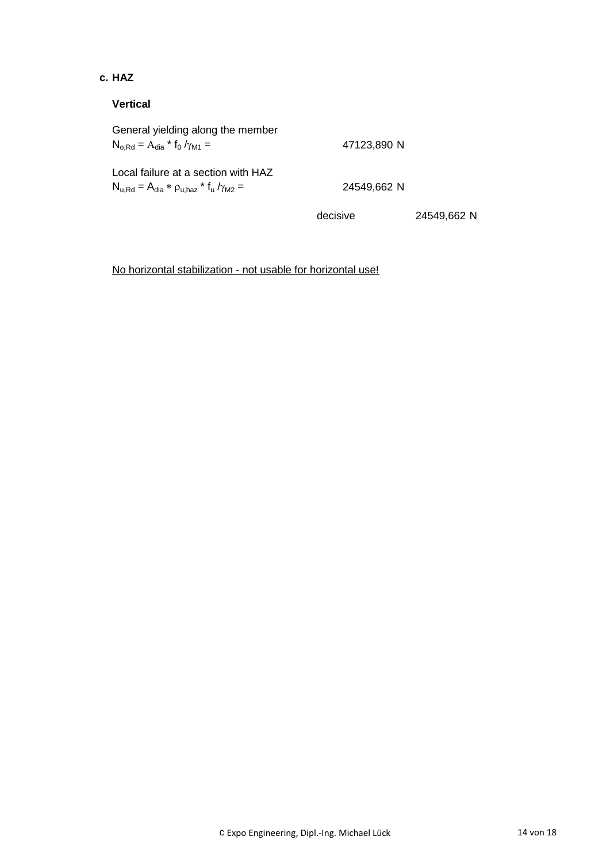## **c. HAZ**

## **Vertical**

| General yielding along the member<br>$N_{o, Rd} = A_{dia} * f_0 / \gamma_{M1} =$                 | 47123,890 N |             |
|--------------------------------------------------------------------------------------------------|-------------|-------------|
| Local failure at a section with HAZ<br>$N_{u,Rd} = A_{dia} * \rho_{u,haz} * f_u / \gamma_{M2} =$ | 24549,662 N |             |
|                                                                                                  | decisive    | 24549,662 N |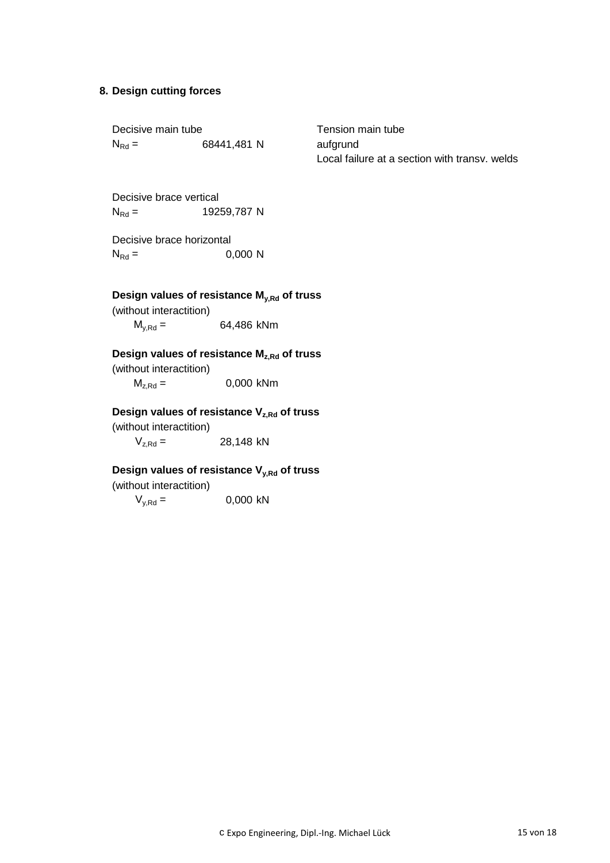#### **8. Design cutting forces**

| Decisive main tube |             | т |
|--------------------|-------------|---|
| $N_{\rm Rd} =$     | 68441,481 N | а |

ension main tube ufgrund Local failure at a section with transv. welds

Decisive brace vertical  $N_{\text{Rd}} = 19259,787 \text{ N}$ 

| Decisive brace horizontal |         |
|---------------------------|---------|
| $N_{\rm Rd} =$            | 0,000 N |

# **Design values of resistance My,Rd of truss**

(without interactition)

 $M_{y,Rd} = 64,486$  kNm

# **Design values of resistance Mz,Rd of truss**

(without interactition)  $M_{z, Rd} = 0,000$  kNm

### **Design values of resistance Vz,Rd of truss**

(without interactition)

 $V_{z,Rd} = 28,148$  kN

# **Design values of resistance Vy,Rd of truss**

(without interactition)

 $V_{y, Rd} = 0,000$  kN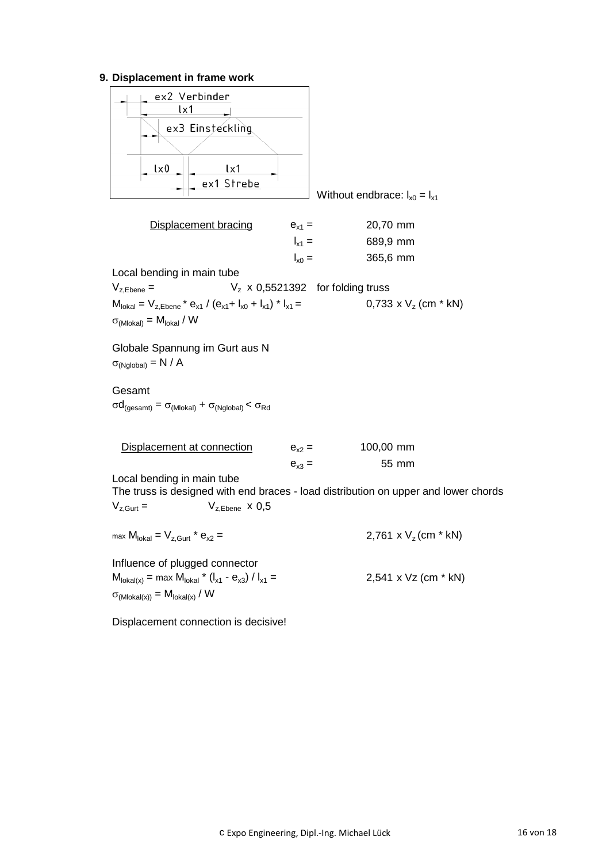## **9. Displacement in frame work**

| <u>UVVIIIVIII III IIUIIIV</u><br>ex2 Verbinder<br>$1\times1$<br>ex3 Einsteckling<br>$l \times 0$<br>lx1<br>ex1 Strebe                                       |            | Without endbrace: $I_{x0} = I_{x1}$                                                 |
|-------------------------------------------------------------------------------------------------------------------------------------------------------------|------------|-------------------------------------------------------------------------------------|
| <b>Displacement bracing</b>                                                                                                                                 | $e_{x1} =$ | 20,70 mm                                                                            |
|                                                                                                                                                             | $I_{x1} =$ | 689,9 mm                                                                            |
|                                                                                                                                                             | $I_{x0} =$ | 365,6 mm                                                                            |
| Local bending in main tube                                                                                                                                  |            |                                                                                     |
| $V_{z, Ebene} =$                                                                                                                                            |            | $V_z$ x 0,5521392 for folding truss                                                 |
| $M_{\text{lokal}} = V_{z,\text{Ebene}} * e_{x1} / (e_{x1} + I_{x0} + I_{x1}) * I_{x1} =$<br>$\sigma_{(Mlokal)} = M_{lokal} / W$                             |            | $0.733 \times V_{7}$ (cm * kN)                                                      |
| Globale Spannung im Gurt aus N<br>$\sigma_{(Nglobal)} = N / A$                                                                                              |            |                                                                                     |
| Gesamt<br>$\sigma d_{(gesamt)} = \sigma_{(Mlokal)} + \sigma_{(Nglobal)} < \sigma_{Rd}$                                                                      |            |                                                                                     |
| Displacement at connection                                                                                                                                  | $e_{x2} =$ | 100,00 mm                                                                           |
|                                                                                                                                                             | $e_{x3} =$ | 55 mm                                                                               |
| Local bending in main tube<br>$V_{z, Ebene}$ x 0,5<br>$V_{z, Gurt} =$                                                                                       |            | The truss is designed with end braces - load distribution on upper and lower chords |
| max $M_{\text{lokal}} = V_{z, \text{Gurt}} * e_{x2} =$                                                                                                      |            | 2,761 x $V_z$ (cm $*$ kN)                                                           |
| Influence of plugged connector<br>$M_{\text{lokal}(x)} = \max M_{\text{lokal}} * (I_{x1} - e_{x3}) / I_{x1} =$<br>$\sigma_{(Mlokal(x))} = M_{lokal(x)} / W$ |            | 2,541 x Vz (cm * kN)                                                                |

Displacement connection is decisive!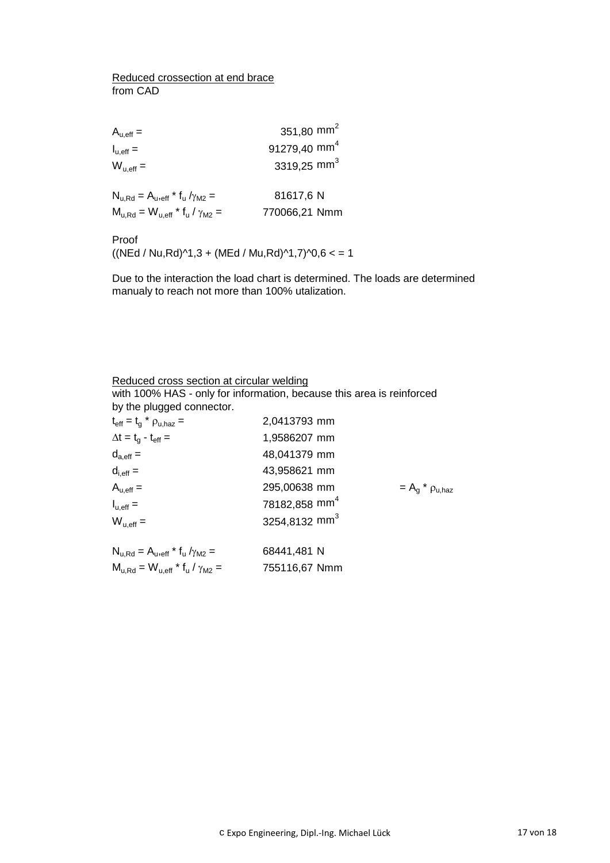#### Reduced crossection at end brace from CAD

| $A_{u,eff} =$                                  | 351,80 mm <sup>2</sup>   |
|------------------------------------------------|--------------------------|
| $I_{u,eff} =$                                  | 91279,40 mm <sup>4</sup> |
| $W_{u,eff} =$                                  | 3319,25 mm <sup>3</sup>  |
| $N_{u, Rd} = A_{u, eff} * f_u / \gamma_{M2} =$ | 81617,6 N                |
| $M_{u,Rd} = W_{u,eff} * f_u / \gamma_{M2} =$   | 770066,21 Nmm            |

Proof

 $((NEd / Nu, Rd)^{1,3} + (MEd / Mu, Rd)^{1,7})^{1,0}$ , 6 < = 1

Due to the interaction the load chart is determined. The loads are determined manualy to reach not more than 100% utalization.

| Reduced cross section at circular welding                             |                           |                                              |
|-----------------------------------------------------------------------|---------------------------|----------------------------------------------|
| with 100% HAS - only for information, because this area is reinforced |                           |                                              |
| by the plugged connector.                                             |                           |                                              |
| $t_{\text{eff}} = t_g * \rho_{u,\text{haz}} =$                        | 2,0413793 mm              |                                              |
| $\Delta t = t_{q} - t_{eff} =$                                        | 1,9586207 mm              |                                              |
| $d_{a,eff} =$                                                         | 48,041379 mm              |                                              |
| $d_{i,eff} =$                                                         | 43,958621 mm              |                                              |
| $A_{u,eff} =$                                                         | 295,00638 mm              | $=$ A <sub>a</sub> $*$ $\rho_{\text{u.haz}}$ |
| $I_{u,eff} =$                                                         | 78182,858 mm <sup>4</sup> |                                              |
| $W_{u,eff} =$                                                         | 3254,8132 mm <sup>3</sup> |                                              |
| $N_{u,Rd} = A_{u,eff} * f_u / \gamma_{M2} =$                          | 68441,481 N               |                                              |
|                                                                       |                           |                                              |
| $M_{u,Rd} = W_{u,eff} * f_u / \gamma_{M2} =$                          | 755116,67 Nmm             |                                              |